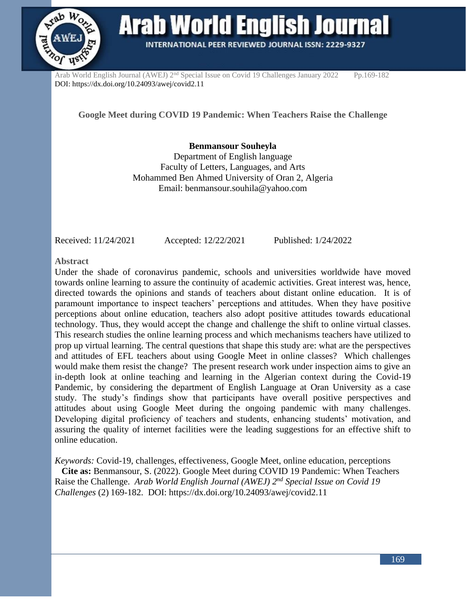

**Arab World English Journal INTERNATIONAL PEER REVIEWED JOURNAL ISSN: 2229-9327** 

Arab World English Journal (AWEJ) 2<sup>nd</sup> Special Issue on Covid 19 Challenges January 2022 Pp.169-182 DOI: https://dx.doi.org/10.24093/awej/covid2.11

**Google Meet during COVID 19 Pandemic: When Teachers Raise the Challenge**

**Benmansour Souheyla** Department of English language Faculty of Letters, Languages, and Arts Mohammed Ben Ahmed University of Oran 2, Algeria Email: benmansour.souhila@yahoo.com

Received: 11/24/2021 Accepted: 12/22/2021 Published: 1/24/2022

**Abstract**

Under the shade of coronavirus pandemic, schools and universities worldwide have moved towards online learning to assure the continuity of academic activities. Great interest was, hence, directed towards the opinions and stands of teachers about distant online education. It is of paramount importance to inspect teachers' perceptions and attitudes. When they have positive perceptions about online education, teachers also adopt positive attitudes towards educational technology. Thus, they would accept the change and challenge the shift to online virtual classes. This research studies the online learning process and which mechanisms teachers have utilized to prop up virtual learning. The central questions that shape this study are: what are the perspectives and attitudes of EFL teachers about using Google Meet in online classes? Which challenges would make them resist the change? The present research work under inspection aims to give an in-depth look at online teaching and learning in the Algerian context during the Covid-19 Pandemic, by considering the department of English Language at Oran University as a case study. The study's findings show that participants have overall positive perspectives and attitudes about using Google Meet during the ongoing pandemic with many challenges. Developing digital proficiency of teachers and students, enhancing students' motivation, and assuring the quality of internet facilities were the leading suggestions for an effective shift to online education.

*Keywords:* Covid-19, challenges, effectiveness, Google Meet, online education, perceptions **Cite as:** Benmansour, S. (2022). Google Meet during COVID 19 Pandemic: When Teachers Raise the Challenge. *Arab World English Journal (AWEJ) 2nd Special Issue on Covid 19 Challenges* (2) 169-182.DOI: https://dx.doi.org/10.24093/awej/covid2.11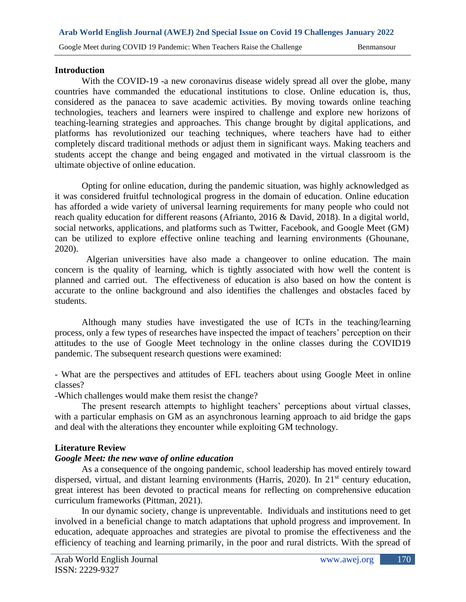### **Introduction**

With the COVID-19 -a new coronavirus disease widely spread all over the globe, many countries have commanded the educational institutions to close. Online education is, thus, considered as the panacea to save academic activities. By moving towards online teaching technologies, teachers and learners were inspired to challenge and explore new horizons of teaching-learning strategies and approaches. This change brought by digital applications, and platforms has revolutionized our teaching techniques, where teachers have had to either completely discard traditional methods or adjust them in significant ways. Making teachers and students accept the change and being engaged and motivated in the virtual classroom is the ultimate objective of online education.

Opting for online education, during the pandemic situation, was highly acknowledged as it was considered fruitful technological progress in the domain of education. Online education has afforded a wide variety of universal learning requirements for many people who could not reach quality education for different reasons (Afrianto, 2016 & David, 2018). In a digital world, social networks, applications, and platforms such as Twitter, Facebook, and Google Meet (GM) can be utilized to explore effective online teaching and learning environments (Ghounane, 2020).

 Algerian universities have also made a changeover to online education. The main concern is the quality of learning, which is tightly associated with how well the content is planned and carried out. The effectiveness of education is also based on how the content is accurate to the online background and also identifies the challenges and obstacles faced by students.

Although many studies have investigated the use of ICTs in the teaching/learning process, only a few types of researches have inspected the impact of teachers' perception on their attitudes to the use of Google Meet technology in the online classes during the COVID19 pandemic. The subsequent research questions were examined:

- What are the perspectives and attitudes of EFL teachers about using Google Meet in online classes?

-Which challenges would make them resist the change?

The present research attempts to highlight teachers' perceptions about virtual classes, with a particular emphasis on GM as an asynchronous learning approach to aid bridge the gaps and deal with the alterations they encounter while exploiting GM technology.

### **Literature Review**

### *Google Meet: the new wave of online education*

As a consequence of the ongoing pandemic, school leadership has moved entirely toward dispersed, virtual, and distant learning environments (Harris, 2020). In 21<sup>st</sup> century education, great interest has been devoted to practical means for reflecting on comprehensive education curriculum frameworks (Pittman, 2021).

In our dynamic society, change is unpreventable. Individuals and institutions need to get involved in a beneficial change to match adaptations that uphold progress and improvement. In education, adequate approaches and strategies are pivotal to promise the effectiveness and the efficiency of teaching and learning primarily, in the poor and rural districts. With the spread of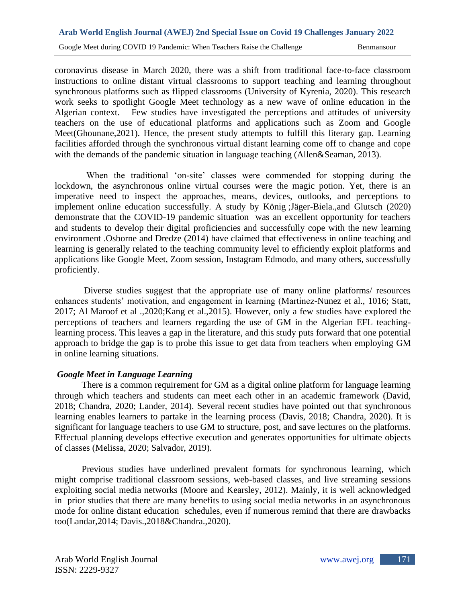coronavirus disease in March 2020, there was a shift from traditional face-to-face classroom instructions to online distant virtual classrooms to support teaching and learning throughout synchronous platforms such as flipped classrooms (University of Kyrenia, 2020). This research work seeks to spotlight Google Meet technology as a new wave of online education in the Algerian context. Few studies have investigated the perceptions and attitudes of university teachers on the use of educational platforms and applications such as Zoom and Google Meet(Ghounane,2021). Hence, the present study attempts to fulfill this literary gap. Learning facilities afforded through the synchronous virtual distant learning come off to change and cope with the demands of the pandemic situation in language teaching (Allen&Seaman, 2013).

 When the traditional 'on-site' classes were commended for stopping during the lockdown, the asynchronous online virtual courses were the magic potion. Yet, there is an imperative need to inspect the approaches, means, devices, outlooks, and perceptions to implement online education successfully. A study by König ;Jäger-Biela.,and Glutsch (2020) demonstrate that the COVID-19 pandemic situation was an excellent opportunity for teachers and students to develop their digital proficiencies and successfully cope with the new learning environment .Osborne and Dredze (2014) have claimed that effectiveness in online teaching and learning is generally related to the teaching community level to efficiently exploit platforms and applications like Google Meet, Zoom session, Instagram Edmodo, and many others, successfully proficiently.

Diverse studies suggest that the appropriate use of many online platforms/ resources enhances students' motivation, and engagement in learning (Martinez-Nunez et al., 1016; Statt, 2017; Al Maroof et al .,2020;Kang et al.,2015). However, only a few studies have explored the perceptions of teachers and learners regarding the use of GM in the Algerian EFL teachinglearning process. This leaves a gap in the literature, and this study puts forward that one potential approach to bridge the gap is to probe this issue to get data from teachers when employing GM in online learning situations.

## *Google Meet in Language Learning*

There is a common requirement for GM as a digital online platform for language learning through which teachers and students can meet each other in an academic framework (David, 2018; Chandra, 2020; Lander, 2014). Several recent studies have pointed out that synchronous learning enables learners to partake in the learning process (Davis, 2018; Chandra, 2020). It is significant for language teachers to use GM to structure, post, and save lectures on the platforms. Effectual planning develops effective execution and generates opportunities for ultimate objects of classes (Melissa, 2020; Salvador, 2019).

Previous studies have underlined prevalent formats for synchronous learning, which might comprise traditional classroom sessions, web-based classes, and live streaming sessions exploiting social media networks (Moore and Kearsley, 2012). Mainly, it is well acknowledged in prior studies that there are many benefits to using social media networks in an asynchronous mode for online distant education schedules, even if numerous remind that there are drawbacks too(Landar,2014; Davis.,2018&Chandra.,2020).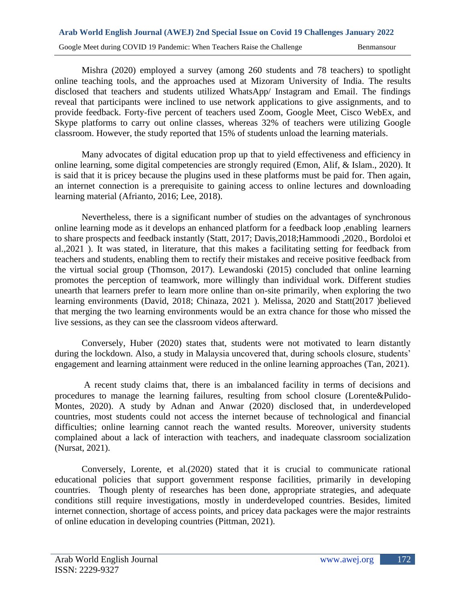# **Arab World English Journal (AWEJ) 2nd Special Issue on Covid 19 Challenges January 2022**  Google Meet during COVID 19 Pandemic: When Teachers Raise the Challenge Benmansour

Mishra (2020) employed a survey (among 260 students and 78 teachers) to spotlight online teaching tools, and the approaches used at Mizoram University of India. The results disclosed that teachers and students utilized WhatsApp/ Instagram and Email. The findings reveal that participants were inclined to use network applications to give assignments, and to provide feedback. Forty-five percent of teachers used Zoom, Google Meet, Cisco WebEx, and Skype platforms to carry out online classes, whereas 32% of teachers were utilizing Google classroom. However, the study reported that 15% of students unload the learning materials.

Many advocates of digital education prop up that to yield effectiveness and efficiency in online learning, some digital competencies are strongly required (Emon, Alif, & Islam., 2020). It is said that it is pricey because the plugins used in these platforms must be paid for. Then again, an internet connection is a prerequisite to gaining access to online lectures and downloading learning material (Afrianto, 2016; Lee, 2018).

Nevertheless, there is a significant number of studies on the advantages of synchronous online learning mode as it develops an enhanced platform for a feedback loop ,enabling learners to share prospects and feedback instantly (Statt, 2017; Davis,2018;Hammoodi ,2020., Bordoloi et al.,2021 ). It was stated, in literature, that this makes a facilitating setting for feedback from teachers and students, enabling them to rectify their mistakes and receive positive feedback from the virtual social group (Thomson, 2017). Lewandoski (2015) concluded that online learning promotes the perception of teamwork, more willingly than individual work. Different studies unearth that learners prefer to learn more online than on-site primarily, when exploring the two learning environments (David, 2018; Chinaza, 2021 ). Melissa, 2020 and Statt(2017 )believed that merging the two learning environments would be an extra chance for those who missed the live sessions, as they can see the classroom videos afterward.

Conversely, Huber (2020) states that, students were not motivated to learn distantly during the lockdown. Also, a study in Malaysia uncovered that, during schools closure, students' engagement and learning attainment were reduced in the online learning approaches (Tan, 2021).

A recent study claims that, there is an imbalanced facility in terms of decisions and procedures to manage the learning failures, resulting from school closure (Lorente&Pulido-Montes, 2020). A study by Adnan and Anwar (2020) disclosed that, in underdeveloped countries, most students could not access the internet because of technological and financial difficulties; online learning cannot reach the wanted results. Moreover, university students complained about a lack of interaction with teachers, and inadequate classroom socialization (Nursat, 2021).

Conversely, Lorente, et al.(2020) stated that it is crucial to communicate rational educational policies that support government response facilities, primarily in developing countries. Though plenty of researches has been done, appropriate strategies, and adequate conditions still require investigations, mostly in underdeveloped countries. Besides, limited internet connection, shortage of access points, and pricey data packages were the major restraints of online education in developing countries (Pittman, 2021).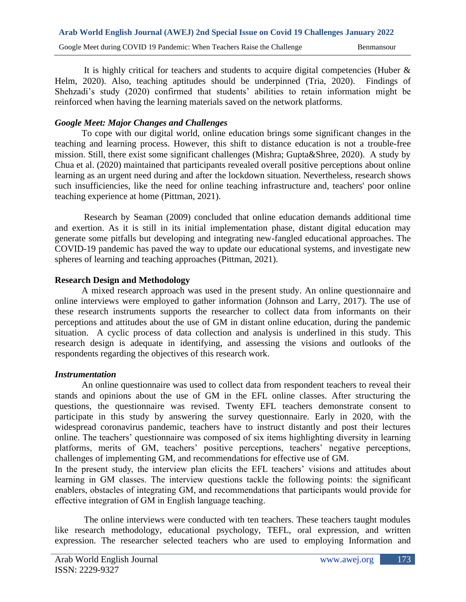It is highly critical for teachers and students to acquire digital competencies (Huber  $\&$ Helm, 2020). Also, teaching aptitudes should be underpinned (Tria, 2020). Findings of Shehzadi's study (2020) confirmed that students' abilities to retain information might be reinforced when having the learning materials saved on the network platforms.

### *Google Meet: Major Changes and Challenges*

To cope with our digital world, online education brings some significant changes in the teaching and learning process. However, this shift to distance education is not a trouble-free mission. Still, there exist some significant challenges (Mishra; Gupta&Shree, 2020). A study by Chua et al. (2020) maintained that participants revealed overall positive perceptions about online learning as an urgent need during and after the lockdown situation. Nevertheless, research shows such insufficiencies, like the need for online teaching infrastructure and, teachers' poor online teaching experience at home (Pittman, 2021).

Research by Seaman (2009) concluded that online education demands additional time and exertion. As it is still in its initial implementation phase, distant digital education may generate some pitfalls but developing and integrating new-fangled educational approaches. The COVID-19 pandemic has paved the way to update our educational systems, and investigate new spheres of learning and teaching approaches (Pittman, 2021).

### **Research Design and Methodology**

A mixed research approach was used in the present study. An online questionnaire and online interviews were employed to gather information (Johnson and Larry, 2017). The use of these research instruments supports the researcher to collect data from informants on their perceptions and attitudes about the use of GM in distant online education, during the pandemic situation. A cyclic process of data collection and analysis is underlined in this study. This research design is adequate in identifying, and assessing the visions and outlooks of the respondents regarding the objectives of this research work.

### *Instrumentation*

An online questionnaire was used to collect data from respondent teachers to reveal their stands and opinions about the use of GM in the EFL online classes. After structuring the questions, the questionnaire was revised. Twenty EFL teachers demonstrate consent to participate in this study by answering the survey questionnaire. Early in 2020, with the widespread coronavirus pandemic, teachers have to instruct distantly and post their lectures online. The teachers' questionnaire was composed of six items highlighting diversity in learning platforms, merits of GM, teachers' positive perceptions, teachers' negative perceptions, challenges of implementing GM, and recommendations for effective use of GM.

In the present study, the interview plan elicits the EFL teachers' visions and attitudes about learning in GM classes. The interview questions tackle the following points: the significant enablers, obstacles of integrating GM, and recommendations that participants would provide for effective integration of GM in English language teaching.

The online interviews were conducted with ten teachers. These teachers taught modules like research methodology, educational psychology, TEFL, oral expression, and written expression. The researcher selected teachers who are used to employing Information and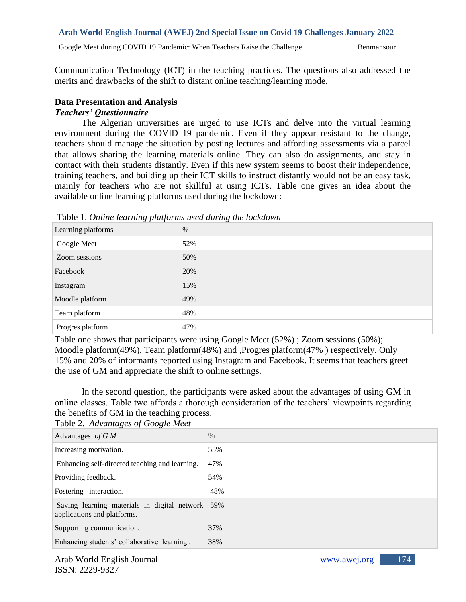Communication Technology (ICT) in the teaching practices. The questions also addressed the merits and drawbacks of the shift to distant online teaching/learning mode.

### **Data Presentation and Analysis**

### *Teachers' Questionnaire*

The Algerian universities are urged to use ICTs and delve into the virtual learning environment during the COVID 19 pandemic. Even if they appear resistant to the change, teachers should manage the situation by posting lectures and affording assessments via a parcel that allows sharing the learning materials online. They can also do assignments, and stay in contact with their students distantly. Even if this new system seems to boost their independence, training teachers, and building up their ICT skills to instruct distantly would not be an easy task, mainly for teachers who are not skillful at using ICTs. Table one gives an idea about the available online learning platforms used during the lockdown:

| $\sim$ $\sim$      | $\tilde{}$ |
|--------------------|------------|
| Learning platforms | $\%$       |
| Google Meet        | 52%        |
| Zoom sessions      | 50%        |
| Facebook           | 20%        |
| Instagram          | 15%        |
| Moodle platform    | 49%        |
| Team platform      | 48%        |
| Progres platform   | 47%        |

Table 1. *Online learning platforms used during the lockdown* 

Table one shows that participants were using Google Meet (52%) ; Zoom sessions (50%); Moodle platform(49%), Team platform(48%) and ,Progres platform(47% ) respectively. Only 15% and 20% of informants reported using Instagram and Facebook. It seems that teachers greet the use of GM and appreciate the shift to online settings.

In the second question, the participants were asked about the advantages of using GM in online classes. Table two affords a thorough consideration of the teachers' viewpoints regarding the benefits of GM in the teaching process. Table 2. *Advantages of Google Meet*

| $14010$ 2. The ranges of Google meet                                        |               |
|-----------------------------------------------------------------------------|---------------|
| Advantages of $G M$                                                         | $\frac{0}{0}$ |
| Increasing motivation.                                                      | 55%           |
| Enhancing self-directed teaching and learning.                              | 47%           |
| Providing feedback.                                                         | 54%           |
| Fostering interaction.                                                      | 48%           |
| Saving learning materials in digital network<br>applications and platforms. | 59%           |
| Supporting communication.                                                   | 37%           |
| Enhancing students' collaborative learning.                                 | 38%           |
|                                                                             |               |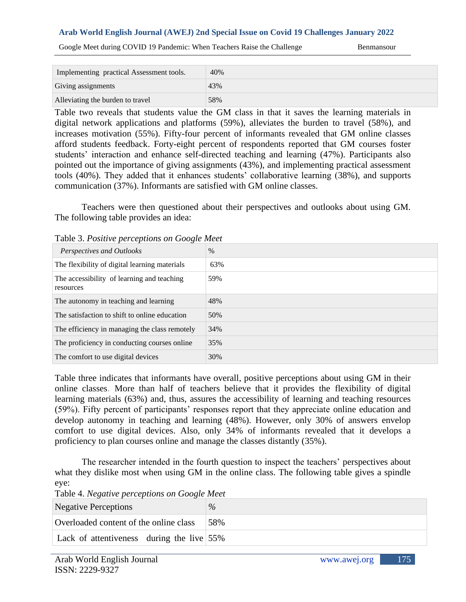Google Meet during COVID 19 Pandemic: When Teachers Raise the Challenge Benmansour

| Implementing practical Assessment tools. | 40% |
|------------------------------------------|-----|
| Giving assignments                       | 43% |
| Alleviating the burden to travel         | 58% |

Table two reveals that students value the GM class in that it saves the learning materials in digital network applications and platforms (59%), alleviates the burden to travel (58%), and increases motivation (55%). Fifty-four percent of informants revealed that GM online classes afford students feedback. Forty-eight percent of respondents reported that GM courses foster students' interaction and enhance self-directed teaching and learning (47%). Participants also pointed out the importance of giving assignments (43%), and implementing practical assessment tools (40%). They added that it enhances students' collaborative learning (38%), and supports communication (37%). Informants are satisfied with GM online classes.

Teachers were then questioned about their perspectives and outlooks about using GM. The following table provides an idea:

| Table 5.1 both replace per copilons on Google meet      |      |
|---------------------------------------------------------|------|
| Perspectives and Outlooks                               | $\%$ |
| The flexibility of digital learning materials           | 63%  |
| The accessibility of learning and teaching<br>resources | 59%  |
| The autonomy in teaching and learning                   | 48%  |
| The satisfaction to shift to online education           | 50%  |
| The efficiency in managing the class remotely           | 34%  |
| The proficiency in conducting courses online            | 35%  |
| The comfort to use digital devices                      | 30%  |

Table 3. *Positive perceptions on Google Meet*

Table three indicates that informants have overall, positive perceptions about using GM in their online classes. More than half of teachers believe that it provides the flexibility of digital learning materials (63%) and, thus, assures the accessibility of learning and teaching resources (59%). Fifty percent of participants' responses report that they appreciate online education and develop autonomy in teaching and learning (48%). However, only 30% of answers envelop comfort to use digital devices. Also, only 34% of informants revealed that it develops a proficiency to plan courses online and manage the classes distantly (35%).

The researcher intended in the fourth question to inspect the teachers' perspectives about what they dislike most when using GM in the online class. The following table gives a spindle eye:

| Negative Perceptions                         | $\%$ |
|----------------------------------------------|------|
| Overloaded content of the online class       | .58% |
| Lack of attentiveness during the live $55\%$ |      |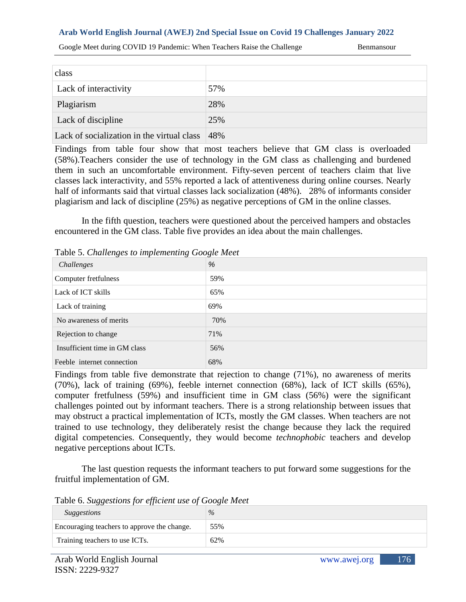Google Meet during COVID 19 Pandemic: When Teachers Raise the Challenge Benmansour

| class                                      |     |
|--------------------------------------------|-----|
| Lack of interactivity                      | 57% |
| Plagiarism                                 | 28% |
| Lack of discipline                         | 25% |
| Lack of socialization in the virtual class | 48% |

Findings from table four show that most teachers believe that GM class is overloaded (58%).Teachers consider the use of technology in the GM class as challenging and burdened them in such an uncomfortable environment. Fifty-seven percent of teachers claim that live classes lack interactivity, and 55% reported a lack of attentiveness during online courses. Nearly half of informants said that virtual classes lack socialization (48%). 28% of informants consider plagiarism and lack of discipline (25%) as negative perceptions of GM in the online classes.

In the fifth question, teachers were questioned about the perceived hampers and obstacles encountered in the GM class. Table five provides an idea about the main challenges.

Table 5. *Challenges to implementing Google Meet*

| Challenges                    | %   |
|-------------------------------|-----|
| Computer fretfulness          | 59% |
| Lack of ICT skills            | 65% |
| Lack of training              | 69% |
| No awareness of merits        | 70% |
| Rejection to change           | 71% |
| Insufficient time in GM class | 56% |
| Feeble internet connection    | 68% |

Findings from table five demonstrate that rejection to change (71%), no awareness of merits (70%), lack of training (69%), feeble internet connection (68%), lack of ICT skills (65%), computer fretfulness (59%) and insufficient time in GM class (56%) were the significant challenges pointed out by informant teachers. There is a strong relationship between issues that may obstruct a practical implementation of ICTs, mostly the GM classes. When teachers are not trained to use technology, they deliberately resist the change because they lack the required digital competencies. Consequently, they would become *technophobic* teachers and develop negative perceptions about ICTs.

The last question requests the informant teachers to put forward some suggestions for the fruitful implementation of GM.

Table 6. *Suggestions for efficient use of Google Meet*

| <b>Suggestions</b>                          | $\%$ |
|---------------------------------------------|------|
| Encouraging teachers to approve the change. | 55%  |
| Training teachers to use ICTs.              | 62%  |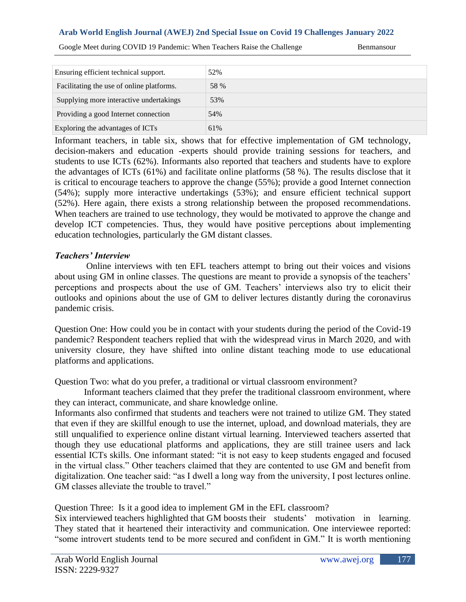Google Meet during COVID 19 Pandemic: When Teachers Raise the Challenge Benmansour

| Ensuring efficient technical support.     | 52%  |
|-------------------------------------------|------|
| Facilitating the use of online platforms. | 58 % |
| Supplying more interactive undertakings   | 53%  |
| Providing a good Internet connection      | 54%  |
| Exploring the advantages of ICTs          | 61%  |

Informant teachers, in table six, shows that for effective implementation of GM technology, decision-makers and education -experts should provide training sessions for teachers, and students to use ICTs (62%). Informants also reported that teachers and students have to explore the advantages of ICTs (61%) and facilitate online platforms (58 %). The results disclose that it is critical to encourage teachers to approve the change (55%); provide a good Internet connection (54%); supply more interactive undertakings (53%); and ensure efficient technical support (52%). Here again, there exists a strong relationship between the proposed recommendations. When teachers are trained to use technology, they would be motivated to approve the change and develop ICT competencies. Thus, they would have positive perceptions about implementing education technologies, particularly the GM distant classes.

#### *Teachers' Interview*

 Online interviews with ten EFL teachers attempt to bring out their voices and visions about using GM in online classes. The questions are meant to provide a synopsis of the teachers' perceptions and prospects about the use of GM. Teachers' interviews also try to elicit their outlooks and opinions about the use of GM to deliver lectures distantly during the coronavirus pandemic crisis.

Question One: How could you be in contact with your students during the period of the Covid-19 pandemic? Respondent teachers replied that with the widespread virus in March 2020, and with university closure, they have shifted into online distant teaching mode to use educational platforms and applications.

Question Two: what do you prefer, a traditional or virtual classroom environment?

Informant teachers claimed that they prefer the traditional classroom environment, where they can interact, communicate, and share knowledge online.

Informants also confirmed that students and teachers were not trained to utilize GM. They stated that even if they are skillful enough to use the internet, upload, and download materials, they are still unqualified to experience online distant virtual learning. Interviewed teachers asserted that though they use educational platforms and applications, they are still trainee users and lack essential ICTs skills. One informant stated: "it is not easy to keep students engaged and focused in the virtual class." Other teachers claimed that they are contented to use GM and benefit from digitalization. One teacher said: "as I dwell a long way from the university, I post lectures online. GM classes alleviate the trouble to travel."

Question Three: Is it a good idea to implement GM in the EFL classroom?

Six interviewed teachers highlighted that GM boosts their students' motivation in learning. They stated that it heartened their interactivity and communication. One interviewee reported: "some introvert students tend to be more secured and confident in GM." It is worth mentioning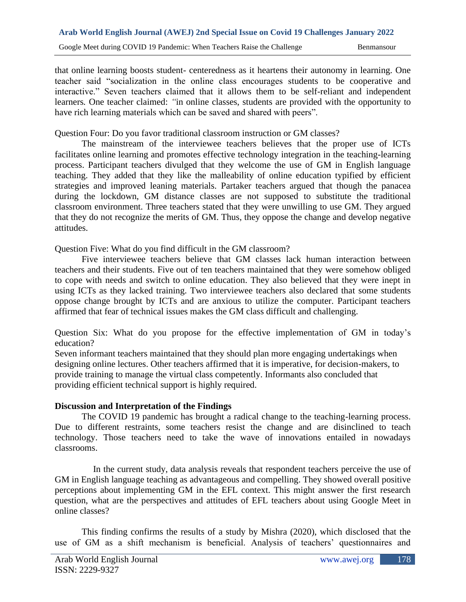that online learning boosts student- centeredness as it heartens their autonomy in learning. One teacher said "socialization in the online class encourages students to be cooperative and interactive." Seven teachers claimed that it allows them to be self-reliant and independent learners*.* One teacher claimed: *"*in online classes, students are provided with the opportunity to have rich learning materials which can be saved and shared with peers".

Question Four: Do you favor traditional classroom instruction or GM classes?

The mainstream of the interviewee teachers believes that the proper use of ICTs facilitates online learning and promotes effective technology integration in the teaching-learning process. Participant teachers divulged that they welcome the use of GM in English language teaching. They added that they like the malleability of online education typified by efficient strategies and improved leaning materials. Partaker teachers argued that though the panacea during the lockdown, GM distance classes are not supposed to substitute the traditional classroom environment. Three teachers stated that they were unwilling to use GM. They argued that they do not recognize the merits of GM. Thus, they oppose the change and develop negative attitudes.

Question Five: What do you find difficult in the GM classroom?

Five interviewee teachers believe that GM classes lack human interaction between teachers and their students. Five out of ten teachers maintained that they were somehow obliged to cope with needs and switch to online education. They also believed that they were inept in using ICTs as they lacked training. Two interviewee teachers also declared that some students oppose change brought by ICTs and are anxious to utilize the computer. Participant teachers affirmed that fear of technical issues makes the GM class difficult and challenging.

Question Six: What do you propose for the effective implementation of GM in today's education?

Seven informant teachers maintained that they should plan more engaging undertakings when designing online lectures. Other teachers affirmed that it is imperative, for decision-makers, to provide training to manage the virtual class competently. Informants also concluded that providing efficient technical support is highly required.

### **Discussion and Interpretation of the Findings**

The COVID 19 pandemic has brought a radical change to the teaching-learning process. Due to different restraints, some teachers resist the change and are disinclined to teach technology. Those teachers need to take the wave of innovations entailed in nowadays classrooms.

 In the current study, data analysis reveals that respondent teachers perceive the use of GM in English language teaching as advantageous and compelling. They showed overall positive perceptions about implementing GM in the EFL context. This might answer the first research question, what are the perspectives and attitudes of EFL teachers about using Google Meet in online classes?

This finding confirms the results of a study by Mishra (2020), which disclosed that the use of GM as a shift mechanism is beneficial. Analysis of teachers' questionnaires and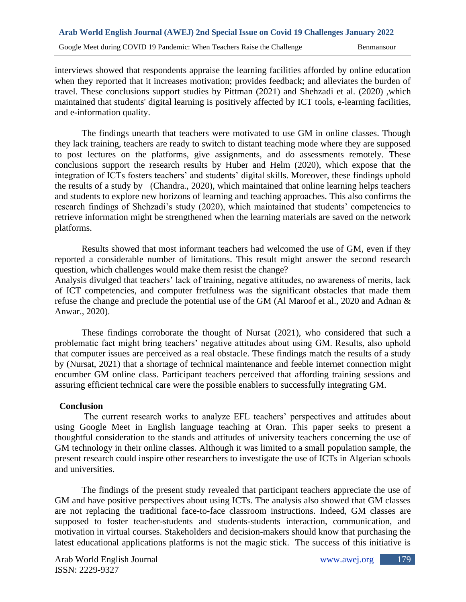interviews showed that respondents appraise the learning facilities afforded by online education when they reported that it increases motivation; provides feedback; and alleviates the burden of travel. These conclusions support studies by Pittman (2021) and Shehzadi et al. (2020) ,which maintained that students' digital learning is positively affected by ICT tools, e-learning facilities, and e-information quality.

The findings unearth that teachers were motivated to use GM in online classes. Though they lack training, teachers are ready to switch to distant teaching mode where they are supposed to post lectures on the platforms, give assignments, and do assessments remotely. These conclusions support the research results by Huber and Helm (2020), which expose that the integration of ICTs fosters teachers' and students' digital skills. Moreover, these findings uphold the results of a study by (Chandra., 2020), which maintained that online learning helps teachers and students to explore new horizons of learning and teaching approaches. This also confirms the research findings of Shehzadi's study (2020), which maintained that students' competencies to retrieve information might be strengthened when the learning materials are saved on the network platforms.

Results showed that most informant teachers had welcomed the use of GM, even if they reported a considerable number of limitations. This result might answer the second research question, which challenges would make them resist the change? Analysis divulged that teachers' lack of training, negative attitudes, no awareness of merits, lack

of ICT competencies, and computer fretfulness was the significant obstacles that made them refuse the change and preclude the potential use of the GM (Al Maroof et al., 2020 and Adnan & Anwar., 2020).

These findings corroborate the thought of Nursat (2021), who considered that such a problematic fact might bring teachers' negative attitudes about using GM. Results, also uphold that computer issues are perceived as a real obstacle. These findings match the results of a study by (Nursat, 2021) that a shortage of technical maintenance and feeble internet connection might encumber GM online class. Participant teachers perceived that affording training sessions and assuring efficient technical care were the possible enablers to successfully integrating GM.

### **Conclusion**

The current research works to analyze EFL teachers' perspectives and attitudes about using Google Meet in English language teaching at Oran. This paper seeks to present a thoughtful consideration to the stands and attitudes of university teachers concerning the use of GM technology in their online classes. Although it was limited to a small population sample, the present research could inspire other researchers to investigate the use of ICTs in Algerian schools and universities.

The findings of the present study revealed that participant teachers appreciate the use of GM and have positive perspectives about using ICTs. The analysis also showed that GM classes are not replacing the traditional face-to-face classroom instructions. Indeed, GM classes are supposed to foster teacher-students and students-students interaction, communication, and motivation in virtual courses. Stakeholders and decision-makers should know that purchasing the latest educational applications platforms is not the magic stick. The success of this initiative is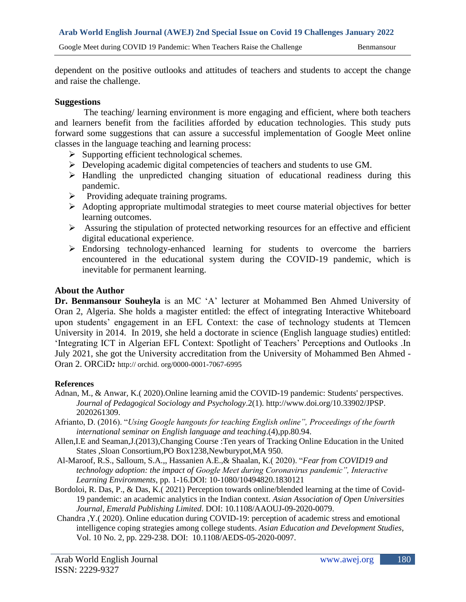dependent on the positive outlooks and attitudes of teachers and students to accept the change and raise the challenge.

#### **Suggestions**

The teaching/ learning environment is more engaging and efficient, where both teachers and learners benefit from the facilities afforded by education technologies. This study puts forward some suggestions that can assure a successful implementation of Google Meet online classes in the language teaching and learning process:

- $\triangleright$  Supporting efficient technological schemes.
- ➢ Developing academic digital competencies of teachers and students to use GM.
- ➢ Handling the unpredicted changing situation of educational readiness during this pandemic.
- ➢ Providing adequate training programs.
- ➢ Adopting appropriate multimodal strategies to meet course material objectives for better learning outcomes.
- ➢ Assuring the stipulation of protected networking resources for an effective and efficient digital educational experience.
- ➢ Endorsing technology-enhanced learning for students to overcome the barriers encountered in the educational system during the COVID-19 pandemic, which is inevitable for permanent learning.

#### **About the Author**

**Dr. Benmansour Souheyla** is an MC 'A' lecturer at Mohammed Ben Ahmed University of Oran 2, Algeria. She holds a magister entitled: the effect of integrating Interactive Whiteboard upon students' engagement in an EFL Context: the case of technology students at Tlemcen University in 2014. In 2019, she held a doctorate in science (English language studies) entitled: 'Integrating ICT in Algerian EFL Context: Spotlight of Teachers' Perceptions and Outlooks .In July 2021, she got the University accreditation from the University of Mohammed Ben Ahmed - Oran 2. ORCiD*:* http:// orchid. org/0000-0001-7067-6995

#### **References**

- Adnan, M., & Anwar, K.( 2020).Online learning amid the COVID-19 pandemic: Students' perspectives. *Journal of Pedagogical Sociology and Psychology*.2(1). http://www.doi.org/10.33902/JPSP. 2020261309.
- Afrianto, D. (2016). "*Using Google hangouts for teaching English online", Proceedings of the fourth international seminar on English language and teaching*.(4),pp.80.94.
- Allen,I.E and Seaman,J.(2013),Changing Course :Ten years of Tracking Online Education in the United States ,Sloan Consortium,PO Box1238,Newburypot,MA 950.
- Al-Maroof, R.S., Salloum, S.A.,, Hassanien A.E.,& Shaalan, K.( 2020). "*Fear from COVID19 and technology adoption: the impact of Google Meet during Coronavirus pandemic", Interactive Learning Environments*, pp. 1-16.DOI: 10-1080/10494820.1830121
- Bordoloi, R. Das, P., & Das, K.( 2021) Perception towards online/blended learning at the time of Covid-19 pandemic: an academic analytics in the Indian context. *Asian Association of Open Universities Journal, Emerald Publishing Limited*. DOI: 10.1108/AAOUJ-09-2020-0079.
- Chandra ,Y.( 2020). Online education during COVID-19: perception of academic stress and emotional intelligence coping strategies among college students. *Asian Education and Development Studies*, Vol. 10 No. 2, pp. 229-238. DOI: 10.1108/AEDS-05-2020-0097.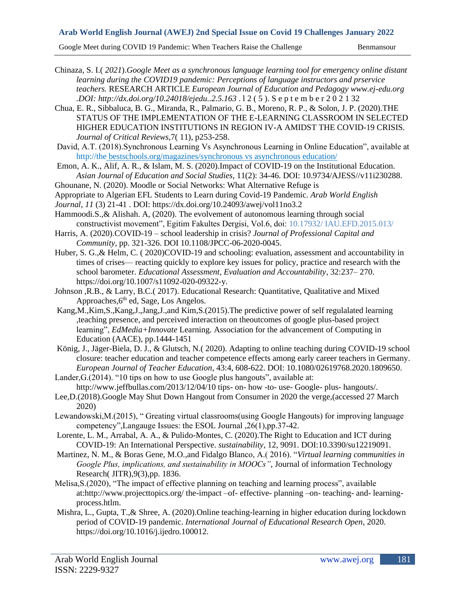Google Meet during COVID 19 Pandemic: When Teachers Raise the Challenge Benmansour

Chinaza, S. I.( *2021*).*Google Meet as a synchronous language learning tool for emergency online distant learning during the COVID19 pandemic: Perceptions of language instructors and prservice teachers.* RESEARCH ARTICLE *European Journal of Education and Pedagogy www.ej-edu.org .DOI: http://dx.doi.org/10.24018/ejedu..2.5.163* . l 2 ( 5 ). S e p t e m b e r 2 0 2 1 32

- Chua, E. R., Sibbaluca, B. G., Miranda, R., Palmario, G. B., Moreno, R. P., & Solon, J. P. (2020).THE STATUS OF THE IMPLEMENTATION OF THE E-LEARNING CLASSROOM IN SELECTED HIGHER EDUCATION INSTITUTIONS IN REGION IV-A AMIDST THE COVID-19 CRISIS. *Journal of Critical Reviews*,7( 11), p253-258.
- David, A.T. (2018).Synchronous Learning Vs Asynchronous Learning in Online Education", available at [http://the](http://the/) bestschools.org/magazines/synchronous vs asynchronous education/
- Emon, A. K., Alif, A. R., & Islam, M. S. (2020).Impact of COVID-19 on the Institutional Education. *Asian Journal of Education and Social Studies*, 11(2): 34-46. DOI: 10.9734/AJESS//v11i230288.
- Ghounane, N. (2020). Moodle or Social Networks: What Alternative Refuge is
- Appropriate to Algerian EFL Students to Learn during Covid-19 Pandemic. *Arab World English*
- *Journal*, *11* (3) 21-41 . DOI: https://dx.doi.org/10.24093/awej/vol11no3.2
- Hammoodi.S.,& Alishah. A, (2020). The evolvement of autonomous learning through social constructivist movement", Egitim Fakultes Dergisi, Vol.6, doi: 10.17932/ IAU.EFD.2015.013/
- Harris, A. (2020).COVID-19 school leadership in crisis? *Journal of Professional Capital and Community*, pp. 321-326. DOI 10.1108/JPCC-06-2020-0045.
- Huber, S. G.,& Helm, C. ( 2020)COVID-19 and schooling: evaluation, assessment and accountability in times of crises— reacting quickly to explore key issues for policy, practice and research with the school barometer. *Educational Assessment, Evaluation and Accountability*, 32:237– 270. https://doi.org/10.1007/s11092-020-09322-y.
- Johnson ,R.B., & Larry, B.C.( 2017). Educational Research: Quantitative, Qualitative and Mixed Approaches, 6<sup>th</sup> ed, Sage, Los Angelos.
- Kang,M.,Kim,S.,Kang,J.,Jang,J.,and Kim,S.(2015).The predictive power of self regulalated learning ,teaching presence, and perceived interaction on theoutcomes of google plus-based project learning", *EdMedia+Innovate* Learning. Association for the advancement of Computing in Education (AACE), pp.1444-1451
- König, J., Jäger-Biela, D. J., & Glutsch, N.( 2020). Adapting to online teaching during COVID-19 school closure: teacher education and teacher competence effects among early career teachers in Germany. *European Journal of Teacher Education*, 43:4, 608-622. DOI: 10.1080/02619768.2020.1809650.
- Lander, G. (2014). "10 tips on how to use Google plus hangouts", available at: http://www.jeffbullas.com/2013/12/04/10 tips- on- how -to- use- Google- plus- hangouts/. Lee,D.(2018).Google May Shut Down Hangout from Consumer in 2020 the verge,(accessed 27 March
- 2020) Lewandowski,M.(2015), " Greating virtual classrooms(using Google Hangouts) for improving language competency",Langauge Issues: the ESOL Journal ,26(1),pp.37-42.
- Lorente, L. M., Arrabal, A. A., & Pulido-Montes, C. (2020).The Right to Education and ICT during COVID-19: An International Perspective. *sustainability*, 12, 9091. DOI:10.3390/su12219091.
- Martinez, N. M., & Boras Gene, M.O.,and Fidalgo Blanco, A.( 2016). "*Virtual learning communities in Google Plus, implications, and sustainability in MOOCs"*, Journal of information Technology Research( JITR),9(3),pp. 1836.
- Melisa,S.(2020), "The impact of effective planning on teaching and learning process", available at:http://www.projecttopics.org/ the-impact –of- effective- planning –on- teaching- and- learningprocess.htlm.
- Mishra, L., Gupta, T.,& Shree, A. (2020).Online teaching-learning in higher education during lockdown period of COVID-19 pandemic. *International Journal of Educational Research Open*, 2020. https://doi.org/10.1016/j.ijedro.100012.